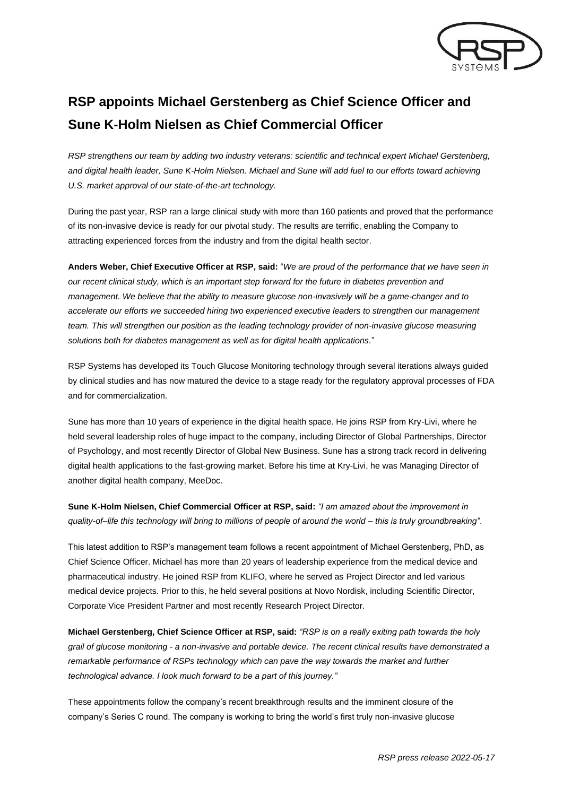

## **RSP appoints Michael Gerstenberg as Chief Science Officer and Sune K-Holm Nielsen as Chief Commercial Officer**

*RSP strengthens our team by adding two industry veterans: scientific and technical expert Michael Gerstenberg, and digital health leader, Sune K-Holm Nielsen. Michael and Sune will add fuel to our efforts toward achieving U.S. market approval of our state-of-the-art technology.*

During the past year, RSP ran a large clinical study with more than 160 patients and proved that the performance of its non-invasive device is ready for our pivotal study. The results are terrific, enabling the Company to attracting experienced forces from the industry and from the digital health sector.

**Anders Weber, Chief Executive Officer at RSP, said:** "*We are proud of the performance that we have seen in our recent clinical study, which is an important step forward for the future in diabetes prevention and management. We believe that the ability to measure glucose non-invasively will be a game-changer and to accelerate our efforts we succeeded hiring two experienced executive leaders to strengthen our management team. This will strengthen our position as the leading technology provider of non-invasive glucose measuring solutions both for diabetes management as well as for digital health applications.*"

RSP Systems has developed its Touch Glucose Monitoring technology through several iterations always guided by clinical studies and has now matured the device to a stage ready for the regulatory approval processes of FDA and for commercialization.

Sune has more than 10 years of experience in the digital health space. He joins RSP from Kry-Livi, where he held several leadership roles of huge impact to the company, including Director of Global Partnerships, Director of Psychology, and most recently Director of Global New Business. Sune has a strong track record in delivering digital health applications to the fast-growing market. Before his time at Kry-Livi, he was Managing Director of another digital health company, MeeDoc.

**Sune K-Holm Nielsen, Chief Commercial Officer at RSP, said:** *"I am amazed about the improvement in quality-of–life this technology will bring to millions of people of around the world – this is truly groundbreaking"*.

This latest addition to RSP's management team follows a recent appointment of Michael Gerstenberg, PhD, as Chief Science Officer. Michael has more than 20 years of leadership experience from the medical device and pharmaceutical industry. He joined RSP from KLIFO, where he served as Project Director and led various medical device projects. Prior to this, he held several positions at Novo Nordisk, including Scientific Director, Corporate Vice President Partner and most recently Research Project Director.

**Michael Gerstenberg, Chief Science Officer at RSP, said:** *"RSP is on a really exiting path towards the holy grail of glucose monitoring - a non-invasive and portable device. The recent clinical results have demonstrated a remarkable performance of RSPs technology which can pave the way towards the market and further technological advance. I look much forward to be a part of this journey."*

These appointments follow the company's recent breakthrough results and the imminent closure of the company's Series C round. The company is working to bring the world's first truly non-invasive glucose